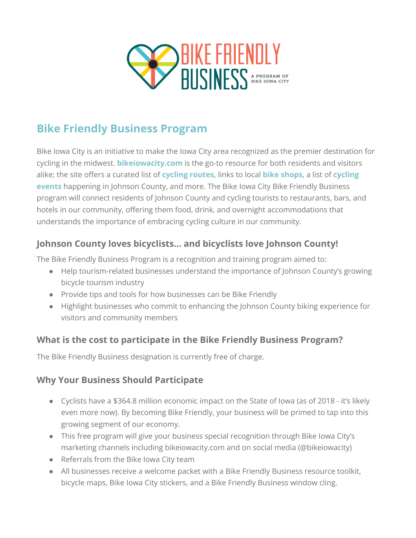

# **Bike Friendly Business Program**

Bike Iowa City is an initiative to make the Iowa City area recognized as the premier destination for cycling in the midwest. **[bikeiowacity.com](https://bikeiowacity.com/)** is the go-to resource for both residents and visitors alike; the site offers a curated list of **cycling [routes,](https://bikeiowacity.com/ride-your-own-adventure/)** links to local **bike [shops](https://bikeiowacity.com/resources/bike-shops/)**, a list of **[cycling](https://bikeiowacity.com/event-calendar/) [events](https://bikeiowacity.com/event-calendar/)** happening in Johnson County, and more. The Bike Iowa City Bike Friendly Business program will connect residents of Johnson County and cycling tourists to restaurants, bars, and hotels in our community, offering them food, drink, and overnight accommodations that understands the importance of embracing cycling culture in our community.

#### **Johnson County loves bicyclists… and bicyclists love Johnson County!**

The Bike Friendly Business Program is a recognition and training program aimed to:

- Help tourism-related businesses understand the importance of Johnson County's growing bicycle tourism industry
- Provide tips and tools for how businesses can be Bike Friendly
- Highlight businesses who commit to enhancing the Johnson County biking experience for visitors and community members

#### **What is the cost to participate in the Bike Friendly Business Program?**

The Bike Friendly Business designation is currently free of charge.

#### **Why Your Business Should Participate**

- Cyclists have a \$364.8 million economic impact on the State of Iowa (as of 2018 it's likely even more now). By becoming Bike Friendly, your business will be primed to tap into this growing segment of our economy.
- This free program will give your business special recognition through Bike Iowa City's marketing channels including bikeiowacity.com and on social media (@bikeiowacity)
- Referrals from the Bike Iowa City team
- All businesses receive a welcome packet with a Bike Friendly Business resource toolkit, bicycle maps, Bike Iowa City stickers, and a Bike Friendly Business window cling.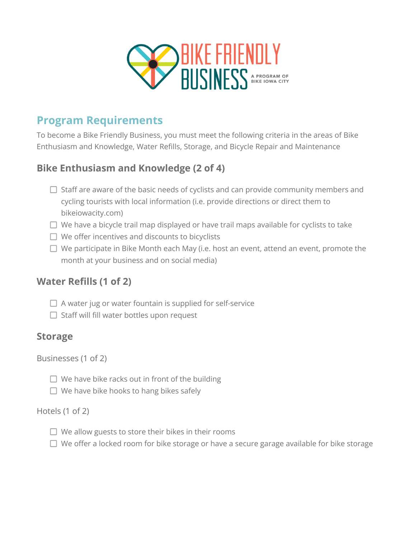

## **Program Requirements**

To become a Bike Friendly Business, you must meet the following criteria in the areas of Bike Enthusiasm and Knowledge, Water Refills, Storage, and Bicycle Repair and Maintenance

## **Bike Enthusiasm and Knowledge (2 of 4)**

- $\Box$  Staff are aware of the basic needs of cyclists and can provide community members and cycling tourists with local information (i.e. provide directions or direct them to bikeiowacity.com)
- $\Box$  We have a bicycle trail map displayed or have trail maps available for cyclists to take
- $\Box$  We offer incentives and discounts to bicyclists
- $\Box$  We participate in Bike Month each May (i.e. host an event, attend an event, promote the month at your business and on social media)

#### **Water Refills (1 of 2)**

- $\Box$  A water jug or water fountain is supplied for self-service
- $\Box$  Staff will fill water bottles upon request

#### **Storage**

Businesses (1 of 2)

- $\Box$  We have bike racks out in front of the building
- $\Box$  We have bike hooks to hang bikes safely

#### Hotels (1 of 2)

- $\Box$  We allow guests to store their bikes in their rooms
- $\Box$  We offer a locked room for bike storage or have a secure garage available for bike storage